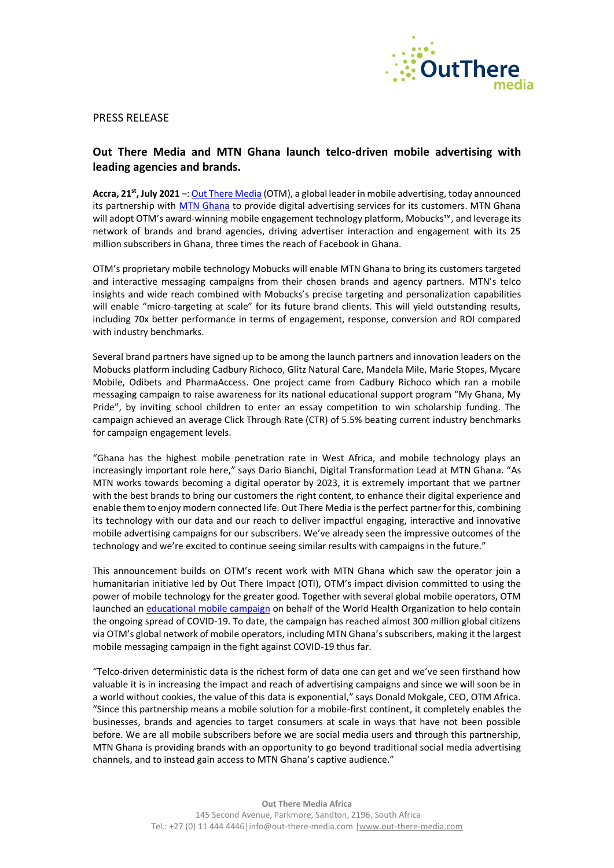

## PRESS RELEASE

## **Out There Media and MTN Ghana launch telco-driven mobile advertising with leading agencies and brands.**

**Accra, 21st, July 2021** –[: Out There Media](http://www.out-there-media.com/) (OTM), a global leader in mobile advertising, today announced its partnership with [MTN Ghana](https://mtn.com.gh/) to provide digital advertising services for its customers. MTN Ghana will adopt OTM's award-winning mobile engagement technology platform, Mobucks™, and leverage its network of brands and brand agencies, driving advertiser interaction and engagement with its 25 million subscribers in Ghana, three times the reach of Facebook in Ghana.

OTM's proprietary mobile technology Mobucks will enable MTN Ghana to bring its customers targeted and interactive messaging campaigns from their chosen brands and agency partners. MTN's telco insights and wide reach combined with Mobucks's precise targeting and personalization capabilities will enable "micro-targeting at scale" for its future brand clients. This will yield outstanding results, including 70x better performance in terms of engagement, response, conversion and ROI compared with industry benchmarks.

Several brand partners have signed up to be among the launch partners and innovation leaders on the Mobucks platform including Cadbury Richoco, Glitz Natural Care, Mandela Mile, Marie Stopes, Mycare Mobile, Odibets and PharmaAccess. One project came from Cadbury Richoco which ran a mobile messaging campaign to raise awareness for its national educational support program "My Ghana, My Pride", by inviting school children to enter an essay competition to win scholarship funding. The campaign achieved an average Click Through Rate (CTR) of 5.5% beating current industry benchmarks for campaign engagement levels.

"Ghana has the highest mobile penetration rate in West Africa, and mobile technology plays an increasingly important role here," says Dario Bianchi, Digital Transformation Lead at MTN Ghana. "As MTN works towards becoming a digital operator by 2023, it is extremely important that we partner with the best brands to bring our customers the right content, to enhance their digital experience and enable them to enjoy modern connected life. Out There Media is the perfect partner for this, combining its technology with our data and our reach to deliver impactful engaging, interactive and innovative mobile advertising campaigns for our subscribers. We've already seen the impressive outcomes of the technology and we're excited to continue seeing similar results with campaigns in the future."

This announcement builds on OTM's recent work with MTN Ghana which saw the operator join a humanitarian initiative led by Out There Impact (OTI), OTM's impact division committed to using the power of mobile technology for the greater good. Together with several global mobile operators, OTM launched an [educational mobile campaign](https://www.realwire.com/releases/World-Health-Organization-and-Out-There-Impact-join-forces) on behalf of the World Health Organization to help contain the ongoing spread of COVID-19. To date, the campaign has reached almost 300 million global citizens via OTM's global network of mobile operators, including MTN Ghana's subscribers, making it the largest mobile messaging campaign in the fight against COVID-19 thus far.

"Telco-driven deterministic data is the richest form of data one can get and we've seen firsthand how valuable it is in increasing the impact and reach of advertising campaigns and since we will soon be in a world without cookies, the value of this data is exponential," says Donald Mokgale, CEO, OTM Africa. "Since this partnership means a mobile solution for a mobile-first continent, it completely enables the businesses, brands and agencies to target consumers at scale in ways that have not been possible before. We are all mobile subscribers before we are social media users and through this partnership, MTN Ghana is providing brands with an opportunity to go beyond traditional social media advertising channels, and to instead gain access to MTN Ghana's captive audience."